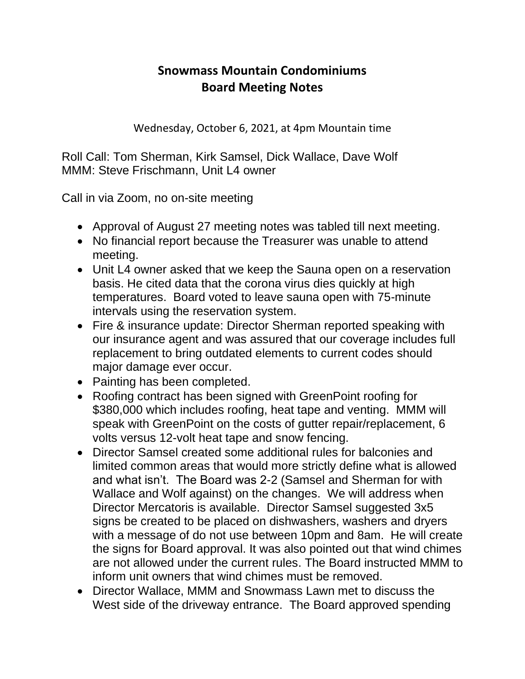## **Snowmass Mountain Condominiums Board Meeting Notes**

Wednesday, October 6, 2021, at 4pm Mountain time

Roll Call: Tom Sherman, Kirk Samsel, Dick Wallace, Dave Wolf MMM: Steve Frischmann, Unit L4 owner

Call in via Zoom, no on-site meeting

- Approval of August 27 meeting notes was tabled till next meeting.
- No financial report because the Treasurer was unable to attend meeting.
- Unit L4 owner asked that we keep the Sauna open on a reservation basis. He cited data that the corona virus dies quickly at high temperatures. Board voted to leave sauna open with 75-minute intervals using the reservation system.
- Fire & insurance update: Director Sherman reported speaking with our insurance agent and was assured that our coverage includes full replacement to bring outdated elements to current codes should major damage ever occur.
- Painting has been completed.
- Roofing contract has been signed with GreenPoint roofing for \$380,000 which includes roofing, heat tape and venting. MMM will speak with GreenPoint on the costs of gutter repair/replacement, 6 volts versus 12-volt heat tape and snow fencing.
- Director Samsel created some additional rules for balconies and limited common areas that would more strictly define what is allowed and what isn't. The Board was 2-2 (Samsel and Sherman for with Wallace and Wolf against) on the changes. We will address when Director Mercatoris is available. Director Samsel suggested 3x5 signs be created to be placed on dishwashers, washers and dryers with a message of do not use between 10pm and 8am. He will create the signs for Board approval. It was also pointed out that wind chimes are not allowed under the current rules. The Board instructed MMM to inform unit owners that wind chimes must be removed.
- Director Wallace, MMM and Snowmass Lawn met to discuss the West side of the driveway entrance. The Board approved spending